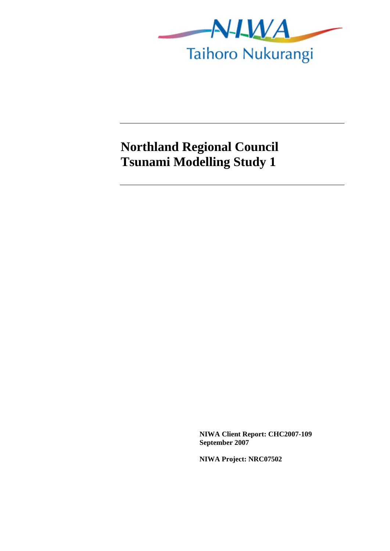

## **Northland Regional Council Tsunami Modelling Study 1**

**NIWA Client Report: CHC2007-109 September 2007** 

**NIWA Project: NRC07502**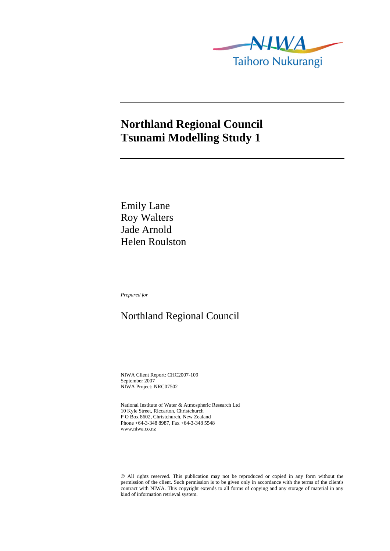

## **Northland Regional Council Tsunami Modelling Study 1**

Emily Lane Roy Walters Jade Arnold Helen Roulston

*Prepared for* 

## Northland Regional Council

NIWA Client Report: CHC2007-109 September 2007 NIWA Project: NRC07502

National Institute of Water & Atmospheric Research Ltd 10 Kyle Street, Riccarton, Christchurch P O Box 8602, Christchurch, New Zealand Phone +64-3-348 8987, Fax +64-3-348 5548 www.niwa.co.nz

<sup>©</sup> All rights reserved. This publication may not be reproduced or copied in any form without the permission of the client. Such permission is to be given only in accordance with the terms of the client's contract with NIWA. This copyright extends to all forms of copying and any storage of material in any kind of information retrieval system.